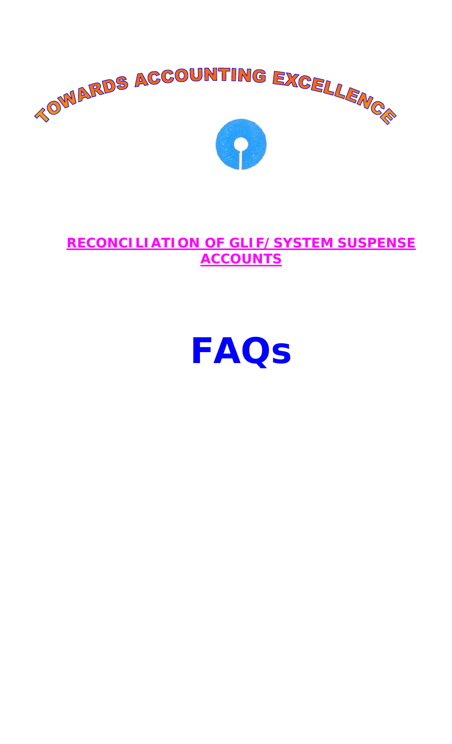

# **RECONCILIATION OF GLIF/SYSTEM SUSPENSE ACCOUNTS**

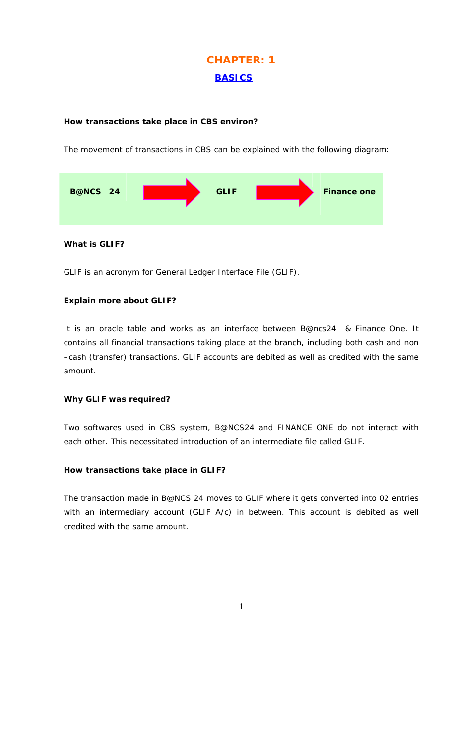# **CHAPTER: 1 BASICS**

## **How transactions take place in CBS environ?**

The movement of transactions in CBS can be explained with the following diagram:



**What is GLIF?** 

GLIF is an acronym for General Ledger Interface File (GLIF).

## **Explain more about GLIF?**

It is an oracle table and works as an interface between B@ncs24 & Finance One. It contains all financial transactions taking place at the branch, including both cash and non –cash (transfer) transactions. GLIF accounts are debited as well as credited with the same amount.

## **Why GLIF was required?**

Two softwares used in CBS system, B@NCS24 and FINANCE ONE do not interact with each other. This necessitated introduction of an intermediate file called GLIF.

## **How transactions take place in GLIF?**

The transaction made in B@NCS 24 moves to GLIF where it gets converted into 02 entries with an intermediary account (GLIF A/c) in between. This account is debited as well credited with the same amount.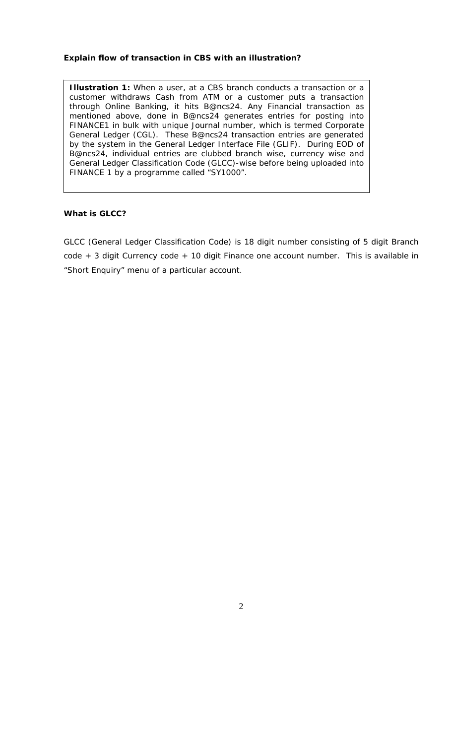#### **Explain flow of transaction in CBS with an illustration?**

**Illustration 1:** When a user, at a CBS branch conducts a transaction or a customer withdraws Cash from ATM or a customer puts a transaction through Online Banking, it hits B@ncs24. Any Financial transaction as mentioned above, done in B@ncs24 generates entries for posting into FINANCE1 in bulk with unique Journal number, which is termed Corporate General Ledger (CGL). These B@ncs24 transaction entries are generated by the system in the General Ledger Interface File (GLIF). During EOD of B@ncs24, individual entries are clubbed branch wise, currency wise and General Ledger Classification Code (GLCC)-wise before being uploaded into FINANCE 1 by a programme called "SY1000".

#### **What is GLCC?**

GLCC (General Ledger Classification Code) is 18 digit number consisting of 5 digit Branch code + 3 digit Currency code + 10 digit Finance one account number. This is available in "Short Enquiry" menu of a particular account.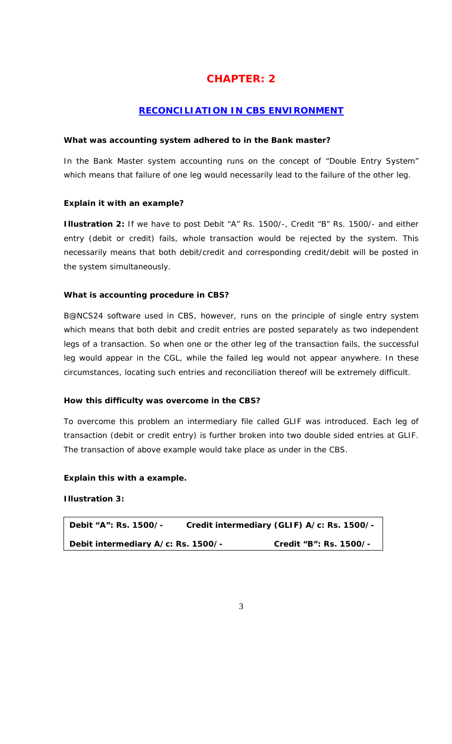# **CHAPTER: 2**

## **RECONCILIATION IN CBS ENVIRONMENT**

#### **What was accounting system adhered to in the Bank master?**

In the Bank Master system accounting runs on the concept of "Double Entry System" which means that failure of one leg would necessarily lead to the failure of the other leg.

## **Explain it with an example?**

**Illustration 2:** If we have to post Debit "A" Rs. 1500/-, Credit "B" Rs. 1500/- and either entry (debit or credit) fails, whole transaction would be rejected by the system. This necessarily means that both debit/credit and corresponding credit/debit will be posted in the system simultaneously.

#### **What is accounting procedure in CBS?**

B@NCS24 software used in CBS, however, runs on the principle of single entry system which means that both debit and credit entries are posted separately as two independent legs of a transaction. So when one or the other leg of the transaction fails, the successful leg would appear in the CGL, while the failed leg would not appear anywhere. In these circumstances, locating such entries and reconciliation thereof will be extremely difficult.

#### **How this difficulty was overcome in the CBS?**

To overcome this problem an intermediary file called GLIF was introduced. Each leg of transaction (debit or credit entry) is further broken into two double sided entries at GLIF. The transaction of above example would take place as under in the CBS.

#### **Explain this with a example.**

**Illustration 3:** 

**Debit "A": Rs. 1500/- Credit intermediary (GLIF) A/c: Rs. 1500/- Debit intermediary A/c: Rs. 1500/- Credit "B": Rs. 1500/-**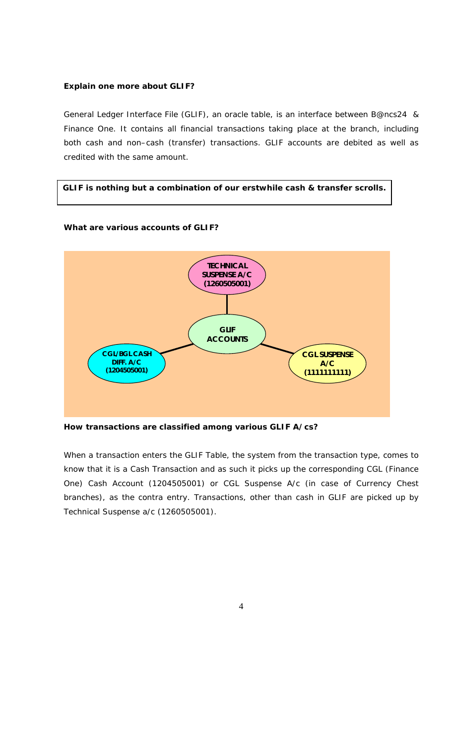#### **Explain one more about GLIF?**

General Ledger Interface File (GLIF), an oracle table, is an interface between B@ncs24 & Finance One. It contains all financial transactions taking place at the branch, including both cash and non–cash (transfer) transactions. GLIF accounts are debited as well as credited with the same amount.

## **GLIF is nothing but a combination of our erstwhile cash & transfer scrolls.**

## **What are various accounts of GLIF?**



**How transactions are classified among various GLIF A/cs?** 

When a transaction enters the GLIF Table, the system from the transaction type, comes to know that it is a Cash Transaction and as such it picks up the corresponding CGL (Finance One) Cash Account (1204505001) or CGL Suspense A/c (in case of Currency Chest branches), as the contra entry. Transactions, other than cash in GLIF are picked up by Technical Suspense a/c (1260505001).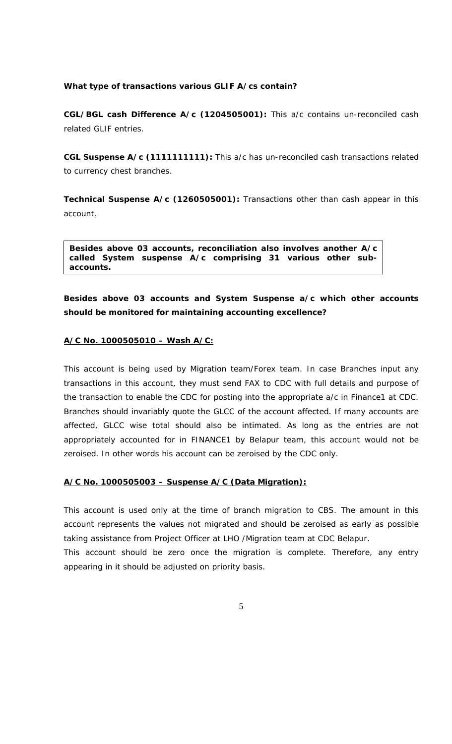#### **What type of transactions various GLIF A/cs contain?**

**CGL/BGL cash Difference A/c (1204505001):** This a/c contains un-reconciled cash related GLIF entries.

**CGL Suspense A/c (1111111111):** This a/c has un-reconciled cash transactions related to currency chest branches.

**Technical Suspense A/c (1260505001):** Transactions other than cash appear in this account.

**Besides above 03 accounts, reconciliation also involves another A/c called System suspense A/c comprising 31 various other subaccounts.** 

**Besides above 03 accounts and System Suspense a/c which other accounts should be monitored for maintaining accounting excellence?** 

#### **A/C No. 1000505010 – Wash A/C:**

This account is being used by Migration team/Forex team. In case Branches input any transactions in this account, they must send FAX to CDC with full details and purpose of the transaction to enable the CDC for posting into the appropriate a/c in Finance1 at CDC. Branches should invariably quote the GLCC of the account affected. If many accounts are affected, GLCC wise total should also be intimated. As long as the entries are not appropriately accounted for in FINANCE1 by Belapur team, this account would not be zeroised. In other words his account can be zeroised by the CDC only.

#### **A/C No. 1000505003 – Suspense A/C (Data Migration):**

This account is used only at the time of branch migration to CBS. The amount in this account represents the values not migrated and should be zeroised as early as possible taking assistance from Project Officer at LHO /Migration team at CDC Belapur.

This account should be zero once the migration is complete. Therefore, any entry appearing in it should be adjusted on priority basis.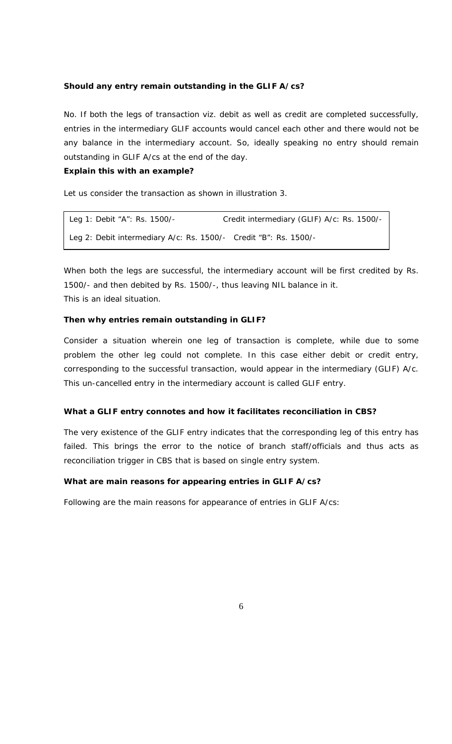#### **Should any entry remain outstanding in the GLIF A/cs?**

No. If both the legs of transaction viz. debit as well as credit are completed successfully, entries in the intermediary GLIF accounts would cancel each other and there would not be any balance in the intermediary account. So, ideally speaking no entry should remain outstanding in GLIF A/cs at the end of the day.

#### **Explain this with an example?**

Let us consider the transaction as shown in illustration 3.

| Leg 1: Debit "A": Rs. 1500/-                                     | Credit intermediary (GLIF) A/c: Rs. 1500/- |
|------------------------------------------------------------------|--------------------------------------------|
| Leg 2: Debit intermediary A/c: Rs. 1500/- Credit "B": Rs. 1500/- |                                            |

When both the legs are successful, the intermediary account will be first credited by Rs. 1500/- and then debited by Rs. 1500/-, thus leaving NIL balance in it. This is an ideal situation.

#### **Then why entries remain outstanding in GLIF?**

Consider a situation wherein one leg of transaction is complete, while due to some problem the other leg could not complete. In this case either debit or credit entry, corresponding to the successful transaction, would appear in the intermediary (GLIF) A/c. This un-cancelled entry in the intermediary account is called GLIF entry.

#### **What a GLIF entry connotes and how it facilitates reconciliation in CBS?**

The very existence of the GLIF entry indicates that the corresponding leg of this entry has failed. This brings the error to the notice of branch staff/officials and thus acts as reconciliation trigger in CBS that is based on single entry system.

#### **What are main reasons for appearing entries in GLIF A/cs?**

Following are the main reasons for appearance of entries in GLIF A/cs: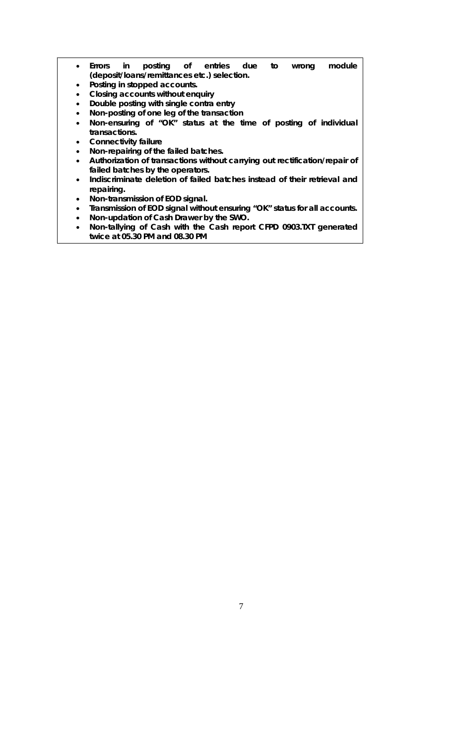- **Errors in posting of entries due to wrong module (deposit/loans/remittances etc.) selection.**
- **Posting in stopped accounts.**
- **Closing accounts without enquiry**
- **Double posting with single contra entry**
- **Non-posting of one leg of the transaction**
- **Non-ensuring of "OK" status at the time of posting of individual transactions.**
- **Connectivity failure**
- **Non-repairing of the failed batches.**
- **Authorization of transactions without carrying out rectification/repair of failed batches by the operators.**
- **Indiscriminate deletion of failed batches instead of their retrieval and repairing.**
- **Non-transmission of EOD signal.**
- **Transmission of EOD signal without ensuring "OK" status for all accounts.**
- **Non-updation of Cash Drawer by the SWO.**
- **Non-tallying of Cash with the Cash report CFPD 0903.TXT generated twice at 05.30 PM and 08.30 PM**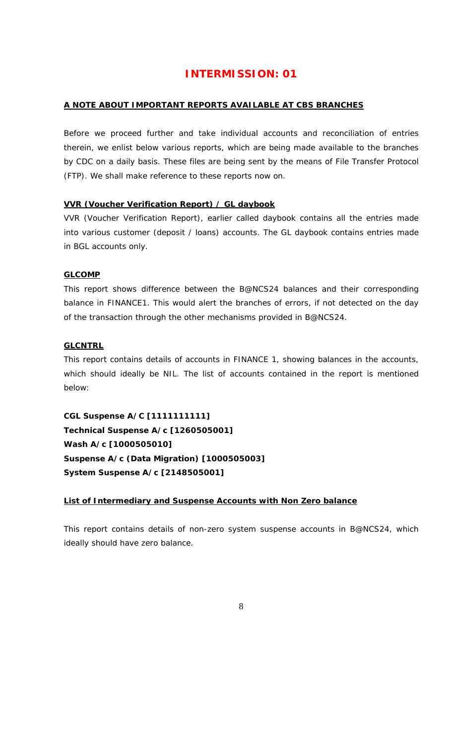# **INTERMISSION: 01**

## **A NOTE ABOUT IMPORTANT REPORTS AVAILABLE AT CBS BRANCHES**

Before we proceed further and take individual accounts and reconciliation of entries therein, we enlist below various reports, which are being made available to the branches by CDC on a daily basis. These files are being sent by the means of File Transfer Protocol (FTP). We shall make reference to these reports now on.

## **VVR (Voucher Verification Report) / GL daybook**

VVR (Voucher Verification Report), earlier called daybook contains all the entries made into various customer (deposit / loans) accounts. The GL daybook contains entries made in BGL accounts only.

## **GLCOMP**

This report shows difference between the B@NCS24 balances and their corresponding balance in FINANCE1. This would alert the branches of errors, if not detected on the day of the transaction through the other mechanisms provided in B@NCS24.

## **GLCNTRL**

This report contains details of accounts in FINANCE 1, showing balances in the accounts, which should ideally be NIL. The list of accounts contained in the report is mentioned below:

**CGL Suspense A/C [1111111111] Technical Suspense A/c [1260505001] Wash A/c [1000505010] Suspense A/c (Data Migration) [1000505003] System Suspense A/c [2148505001]** 

## **List of Intermediary and Suspense Accounts with Non Zero balance**

This report contains details of non-zero system suspense accounts in B@NCS24, which ideally should have zero balance.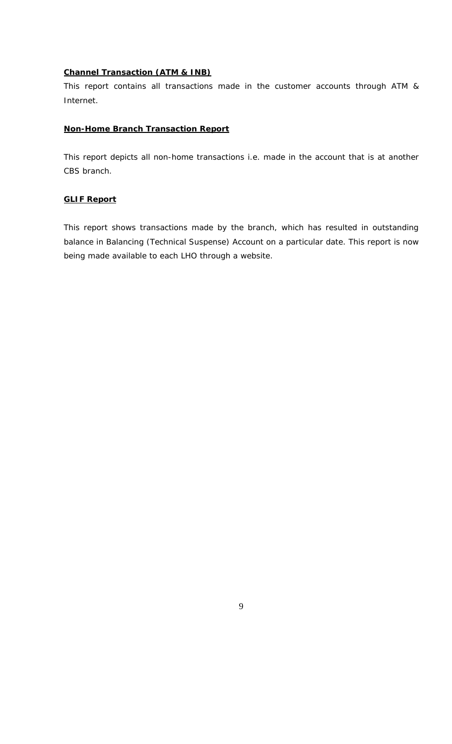#### **Channel Transaction (ATM & INB)**

This report contains all transactions made in the customer accounts through ATM & Internet.

#### **Non-Home Branch Transaction Report**

This report depicts all non-home transactions i.e. made in the account that is at another CBS branch.

#### **GLIF Report**

This report shows transactions made by the branch, which has resulted in outstanding balance in Balancing (Technical Suspense) Account on a particular date. This report is now being made available to each LHO through a website.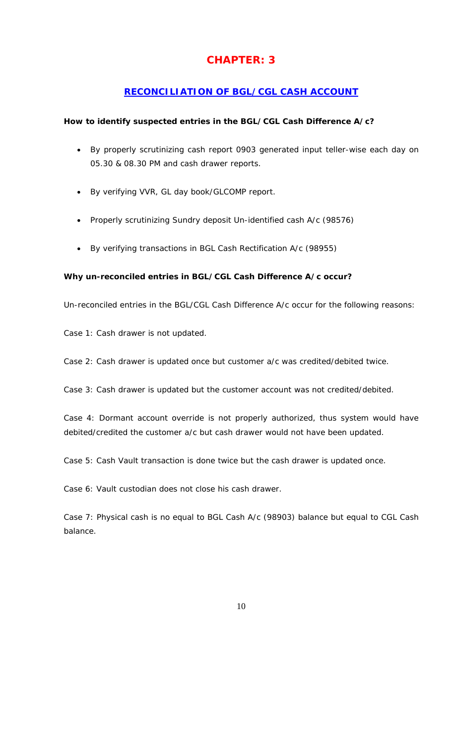# **CHAPTER: 3**

## **RECONCILIATION OF BGL/CGL CASH ACCOUNT**

## **How to identify suspected entries in the BGL/CGL Cash Difference A/c?**

- By properly scrutinizing cash report 0903 generated input teller-wise each day on 05.30 & 08.30 PM and cash drawer reports.
- By verifying VVR, GL day book/GLCOMP report.
- Properly scrutinizing Sundry deposit Un-identified cash A/c (98576)
- By verifying transactions in BGL Cash Rectification A/c (98955)

## **Why un-reconciled entries in BGL/CGL Cash Difference A/c occur?**

Un-reconciled entries in the BGL/CGL Cash Difference A/c occur for the following reasons:

Case 1: Cash drawer is not updated.

Case 2: Cash drawer is updated once but customer a/c was credited/debited twice.

Case 3: Cash drawer is updated but the customer account was not credited/debited.

Case 4: Dormant account override is not properly authorized, thus system would have debited/credited the customer a/c but cash drawer would not have been updated.

Case 5: Cash Vault transaction is done twice but the cash drawer is updated once.

Case 6: Vault custodian does not close his cash drawer.

Case 7: Physical cash is no equal to BGL Cash A/c (98903) balance but equal to CGL Cash balance.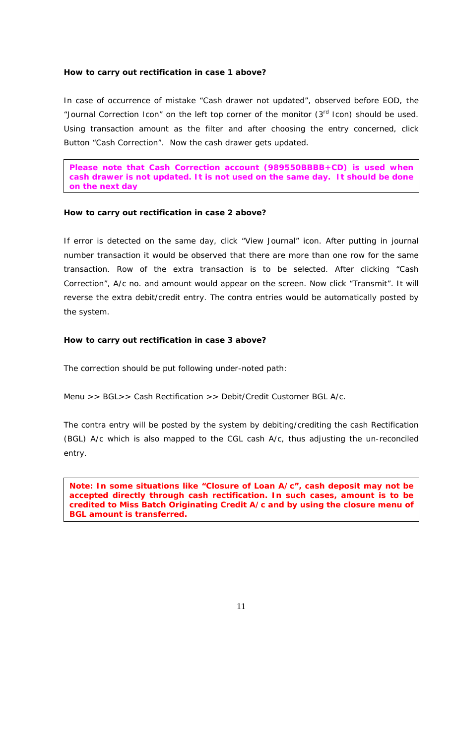#### **How to carry out rectification in case 1 above?**

In case of occurrence of mistake "Cash drawer not updated", observed before EOD, the "Journal Correction Icon" on the left top corner of the monitor (3<sup>rd</sup> Icon) should be used. Using transaction amount as the filter and after choosing the entry concerned, click Button "Cash Correction". Now the cash drawer gets updated.

**Please note that Cash Correction account (989550BBBB+CD) is used when cash drawer is not updated. It is not used on the same day. It should be done on the next day**

#### **How to carry out rectification in case 2 above?**

If error is detected on the same day, click "View Journal" icon. After putting in journal number transaction it would be observed that there are more than one row for the same transaction. Row of the extra transaction is to be selected. After clicking "Cash Correction", A/c no. and amount would appear on the screen. Now click "Transmit". It will reverse the extra debit/credit entry. The contra entries would be automatically posted by the system.

#### **How to carry out rectification in case 3 above?**

The correction should be put following under-noted path:

Menu >> BGL>> Cash Rectification >> Debit/Credit Customer BGL A/c.

The contra entry will be posted by the system by debiting/crediting the cash Rectification (BGL) A/c which is also mapped to the CGL cash A/c, thus adjusting the un-reconciled entry.

**Note: In some situations like "Closure of Loan A/c", cash deposit may not be accepted directly through cash rectification. In such cases, amount is to be credited to Miss Batch Originating Credit A/c and by using the closure menu of BGL amount is transferred.**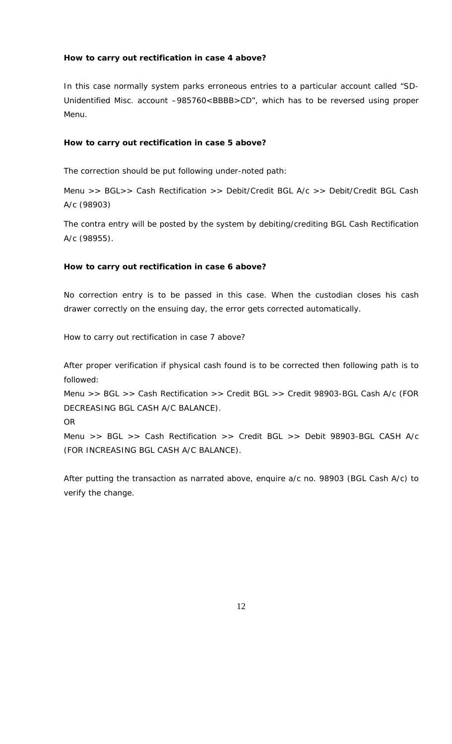## **How to carry out rectification in case 4 above?**

In this case normally system parks erroneous entries to a particular account called "SD-Unidentified Misc. account –985760<BBBB>CD", which has to be reversed using proper Menu.

#### **How to carry out rectification in case 5 above?**

The correction should be put following under-noted path:

Menu >> BGL>> Cash Rectification >> Debit/Credit BGL A/c >> Debit/Credit BGL Cash A/c (98903)

The contra entry will be posted by the system by debiting/crediting BGL Cash Rectification A/c (98955).

#### **How to carry out rectification in case 6 above?**

No correction entry is to be passed in this case. When the custodian closes his cash drawer correctly on the ensuing day, the error gets corrected automatically.

How to carry out rectification in case 7 above?

After proper verification if physical cash found is to be corrected then following path is to followed:

Menu >> BGL >> Cash Rectification >> Credit BGL >> Credit 98903-BGL Cash A/c (FOR DECREASING BGL CASH A/C BALANCE).

OR

Menu >> BGL >> Cash Rectification >> Credit BGL >> Debit 98903-BGL CASH A/c (FOR INCREASING BGL CASH A/C BALANCE).

After putting the transaction as narrated above, enquire a/c no. 98903 (BGL Cash A/c) to verify the change.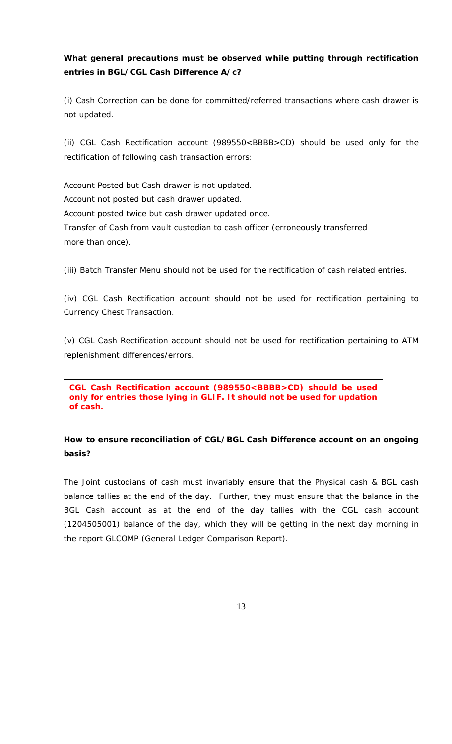## **What general precautions must be observed while putting through rectification entries in BGL/CGL Cash Difference A/c?**

(i) Cash Correction can be done for committed/referred transactions where cash drawer is not updated.

(ii) CGL Cash Rectification account (989550<BBBB>CD) should be used only for the rectification of following cash transaction errors:

Account Posted but Cash drawer is not updated. Account not posted but cash drawer updated. Account posted twice but cash drawer updated once. Transfer of Cash from vault custodian to cash officer (erroneously transferred more than once).

(iii) Batch Transfer Menu should not be used for the rectification of cash related entries.

(iv) CGL Cash Rectification account should not be used for rectification pertaining to Currency Chest Transaction.

(v) CGL Cash Rectification account should not be used for rectification pertaining to ATM replenishment differences/errors.

**CGL Cash Rectification account (989550<BBBB>CD) should be used only for entries those lying in GLIF. It should not be used for updation of cash.**

## **How to ensure reconciliation of CGL/BGL Cash Difference account on an ongoing basis?**

The Joint custodians of cash must invariably ensure that the Physical cash & BGL cash balance tallies at the end of the day. Further, they must ensure that the balance in the BGL Cash account as at the end of the day tallies with the CGL cash account (1204505001) balance of the day, which they will be getting in the next day morning in the report GLCOMP (General Ledger Comparison Report).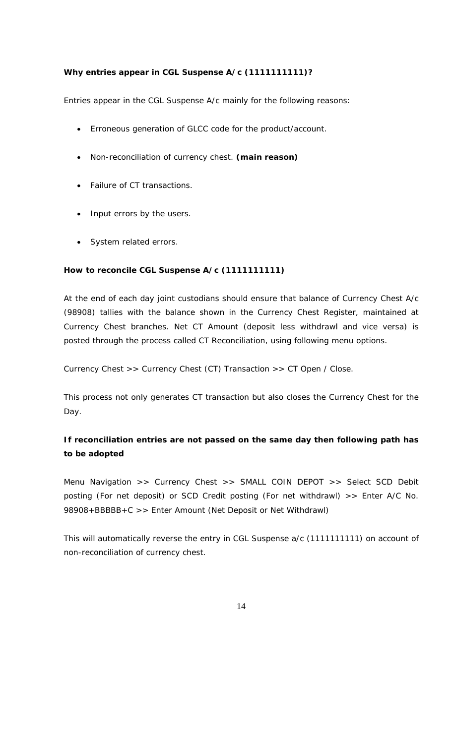## **Why entries appear in CGL Suspense A/c (1111111111)?**

Entries appear in the CGL Suspense A/c mainly for the following reasons:

- Erroneous generation of GLCC code for the product/account.
- Non-reconciliation of currency chest. **(main reason)**
- Failure of CT transactions.
- Input errors by the users.
- System related errors.

## **How to reconcile CGL Suspense A/c (1111111111)**

At the end of each day joint custodians should ensure that balance of Currency Chest A/c (98908) tallies with the balance shown in the Currency Chest Register, maintained at Currency Chest branches. Net CT Amount (deposit less withdrawl and vice versa) is posted through the process called CT Reconciliation, using following menu options.

*Currency Chest >> Currency Chest (CT) Transaction >> CT Open / Close*.

This process not only generates CT transaction but also closes the Currency Chest for the Day.

## **If reconciliation entries are not passed on the same day then following path has to be adopted**

Menu Navigation >> Currency Chest >> SMALL COIN DEPOT >> Select SCD Debit posting (For net deposit) or SCD Credit posting (For net withdrawl) >> Enter A/C No. 98908+BBBBB+C >> Enter Amount (Net Deposit or Net Withdrawl)

This will automatically reverse the entry in CGL Suspense a/c (1111111111) on account of non-reconciliation of currency chest.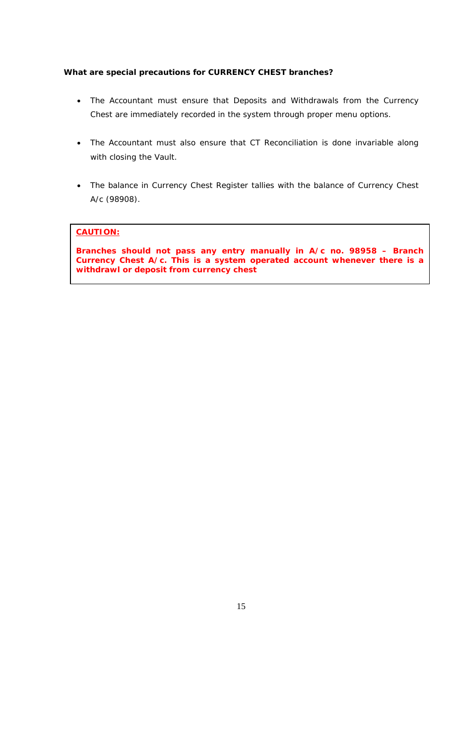## **What are special precautions for CURRENCY CHEST branches?**

- The Accountant must ensure that Deposits and Withdrawals from the Currency Chest are immediately recorded in the system through proper menu options.
- The Accountant must also ensure that CT Reconciliation is done invariable along with closing the Vault.
- The balance in Currency Chest Register tallies with the balance of Currency Chest A/c (98908).

## **CAUTION:**

**Branches should not pass any entry manually in A/c no. 98958 – Branch Currency Chest A/c. This is a system operated account whenever there is a withdrawl or deposit from currency chest**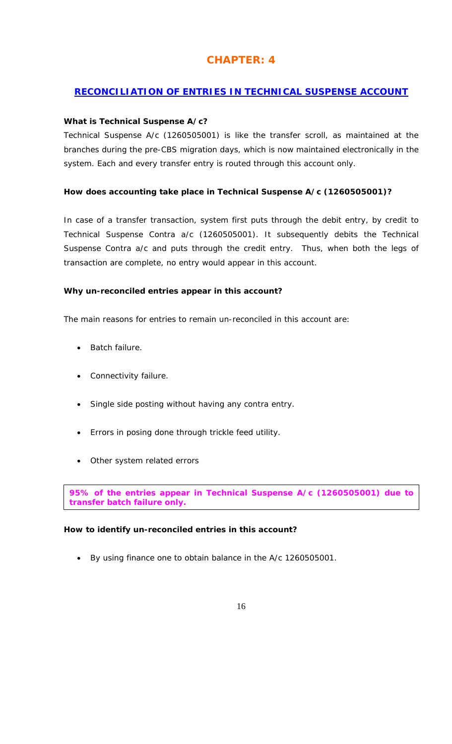# **CHAPTER: 4**

## **RECONCILIATION OF ENTRIES IN TECHNICAL SUSPENSE ACCOUNT**

## **What is Technical Suspense A/c?**

Technical Suspense A/c (1260505001) is like the transfer scroll, as maintained at the branches during the pre-CBS migration days, which is now maintained electronically in the system. Each and every transfer entry is routed through this account only.

## **How does accounting take place in Technical Suspense A/c (1260505001)?**

In case of a transfer transaction, system first puts through the debit entry, by credit to Technical Suspense Contra a/c (1260505001). It subsequently debits the Technical Suspense Contra a/c and puts through the credit entry. Thus, when both the legs of transaction are complete, no entry would appear in this account.

## **Why un-reconciled entries appear in this account?**

The main reasons for entries to remain un-reconciled in this account are:

- Batch failure.
- Connectivity failure.
- Single side posting without having any contra entry.
- Errors in posing done through trickle feed utility.
- Other system related errors

**95% of the entries appear in Technical Suspense A/c (1260505001) due to transfer batch failure only.** 

## **How to identify un-reconciled entries in this account?**

• By using finance one to obtain balance in the A/c 1260505001.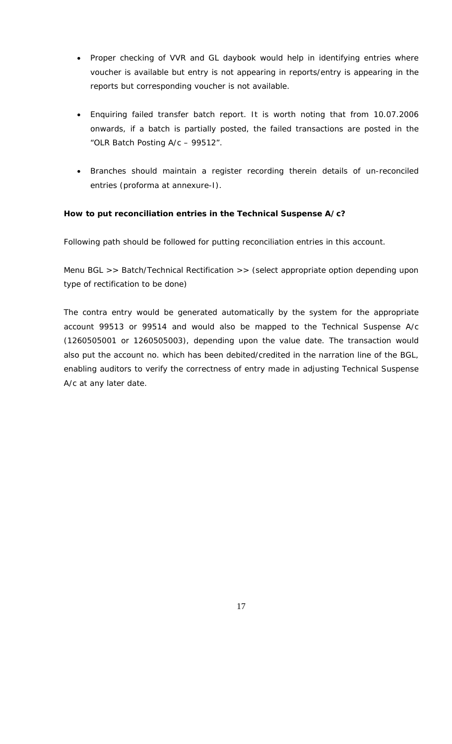- Proper checking of VVR and GL daybook would help in identifying entries where voucher is available but entry is not appearing in reports/entry is appearing in the reports but corresponding voucher is not available.
- Enquiring failed transfer batch report. It is worth noting that from 10.07.2006 onwards, if a batch is partially posted, the failed transactions are posted in the "OLR Batch Posting A/c – 99512".
- Branches should maintain a register recording therein details of un-reconciled entries (proforma at annexure-I).

## **How to put reconciliation entries in the Technical Suspense A/c?**

Following path should be followed for putting reconciliation entries in this account.

Menu BGL >> Batch/Technical Rectification >> (select appropriate option depending upon type of rectification to be done)

The contra entry would be generated automatically by the system for the appropriate account 99513 or 99514 and would also be mapped to the Technical Suspense A/c (1260505001 or 1260505003), depending upon the value date. The transaction would also put the account no. which has been debited/credited in the narration line of the BGL, enabling auditors to verify the correctness of entry made in adjusting Technical Suspense A/c at any later date.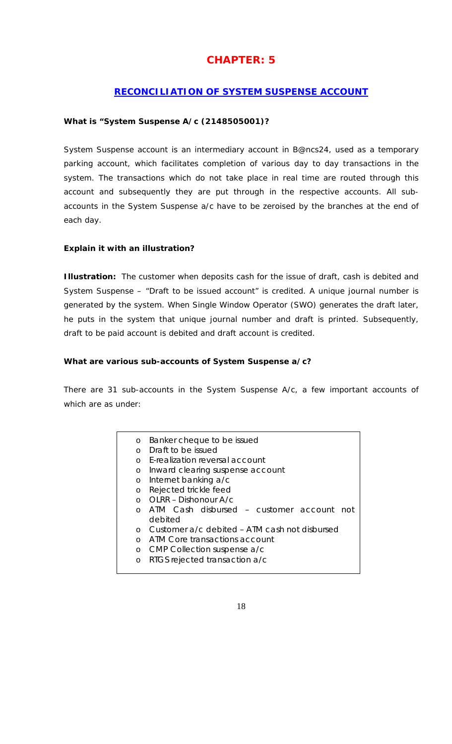# **CHAPTER: 5**

## **RECONCILIATION OF SYSTEM SUSPENSE ACCOUNT**

## **What is "System Suspense A/c (2148505001)?**

System Suspense account is an intermediary account in B@ncs24, used as a temporary parking account, which facilitates completion of various day to day transactions in the system. The transactions which do not take place in real time are routed through this account and subsequently they are put through in the respective accounts. All subaccounts in the System Suspense a/c have to be zeroised by the branches at the end of each day.

## **Explain it with an illustration?**

**Illustration:** The customer when deposits cash for the issue of draft, cash is debited and System Suspense – "Draft to be issued account" is credited. A unique journal number is generated by the system. When Single Window Operator (SWO) generates the draft later, he puts in the system that unique journal number and draft is printed. Subsequently, draft to be paid account is debited and draft account is credited.

## **What are various sub-accounts of System Suspense a/c?**

There are 31 sub-accounts in the System Suspense A/c, a few important accounts of which are as under:

| O         | Banker cheque to be issued                    |
|-----------|-----------------------------------------------|
| $\Omega$  | Draft to be issued                            |
| $\Omega$  | <b>F-realization reversal account</b>         |
| $\circ$   | Inward clearing suspense account              |
| O         | Internet banking a/c                          |
| $\circ$   | Rejected trickle feed                         |
| $\bigcap$ | OLRR - Dishonour A/c                          |
| $\Omega$  | ATM Cash disbursed – customer account<br>not  |
|           | debited                                       |
| $\Omega$  | Customer a/c debited - ATM cash not disbursed |
| $\Omega$  | ATM Core transactions account                 |
| O         | CMP Collection suspense a/c                   |
| O         | RTGS rejected transaction a/c                 |
|           |                                               |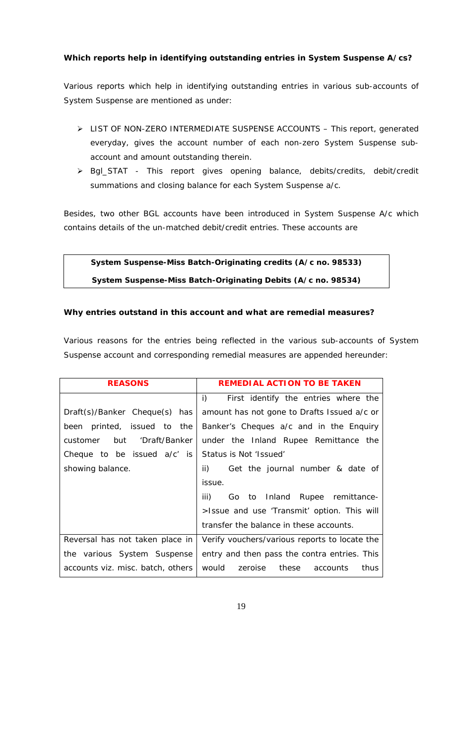## **Which reports help in identifying outstanding entries in System Suspense A/cs?**

Various reports which help in identifying outstanding entries in various sub-accounts of System Suspense are mentioned as under:

- ¾ LIST OF NON-ZERO INTERMEDIATE SUSPENSE ACCOUNTS This report, generated everyday, gives the account number of each non-zero System Suspense subaccount and amount outstanding therein.
- ¾ Bgl\_STAT This report gives opening balance, debits/credits, debit/credit summations and closing balance for each System Suspense a/c.

Besides, two other BGL accounts have been introduced in System Suspense A/c which contains details of the un-matched debit/credit entries. These accounts are

# **System Suspense-Miss Batch-Originating credits (A/c no. 98533) System Suspense-Miss Batch-Originating Debits (A/c no. 98534)**

## **Why entries outstand in this account and what are remedial measures?**

Various reasons for the entries being reflected in the various sub-accounts of System Suspense account and corresponding remedial measures are appended hereunder:

| <b>REASONS</b>                                          | <b>REMEDIAL ACTION TO BE TAKEN</b>                                              |
|---------------------------------------------------------|---------------------------------------------------------------------------------|
|                                                         | i)<br>First identify the entries where the                                      |
| $Draff(s)/Banker$ Cheque(s) has                         | amount has not gone to Drafts Issued a/c or                                     |
| been printed, issued to the                             | Banker's Cheques a/c and in the Enquiry                                         |
| but 'Draft/Banker<br>customer                           | under the Inland Rupee Remittance the                                           |
| Cheque to be issued $a/c'$ is Status is Not 'Issued'    |                                                                                 |
| showing balance.                                        | $\mathsf{ii}$ )<br>Get the journal number & date of                             |
|                                                         | issue.                                                                          |
|                                                         | iii)<br>Go to Inland Rupee remittance-                                          |
|                                                         | >Issue and use 'Transmit' option. This will                                     |
|                                                         | transfer the balance in these accounts.                                         |
|                                                         | Reversal has not taken place in   Verify vouchers/various reports to locate the |
| the various System Suspense                             | entry and then pass the contra entries. This                                    |
| accounts viz. misc. batch, others   would zeroise these | thus<br>accounts                                                                |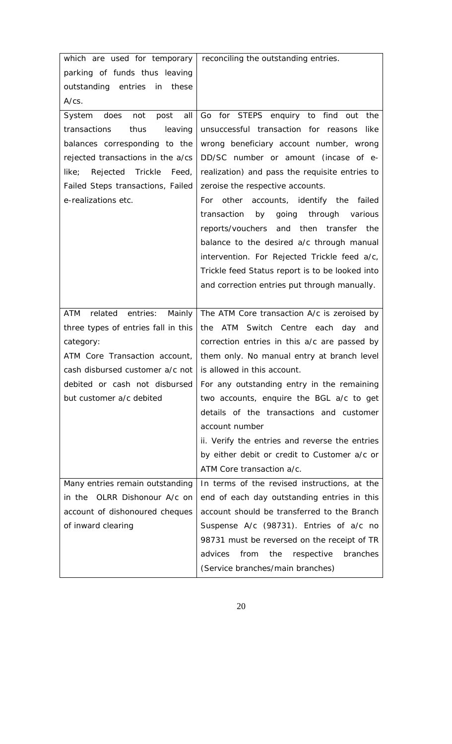|                                                               | which are used for temporary   reconciling the outstanding entries. |
|---------------------------------------------------------------|---------------------------------------------------------------------|
| parking of funds thus leaving                                 |                                                                     |
| outstanding entries in<br>these                               |                                                                     |
| $A/cs$ .                                                      |                                                                     |
| System does<br>post<br>all<br>not                             | Go for STEPS enquiry to find out the                                |
| leaving<br>transactions<br>thus                               | unsuccessful transaction for reasons like                           |
| balances corresponding to the                                 | wrong beneficiary account number, wrong                             |
| rejected transactions in the a/cs                             | DD/SC number or amount (incase of e-                                |
| like;<br>Trickle<br>Feed,<br>Rejected                         | realization) and pass the requisite entries to                      |
| Failed Steps transactions, Failed                             | zeroise the respective accounts.                                    |
| e-realizations etc.                                           | For other accounts, identify the failed                             |
|                                                               | going through various<br>transaction<br>by                          |
|                                                               | reports/vouchers and then transfer the                              |
|                                                               | balance to the desired a/c through manual                           |
|                                                               | intervention. For Rejected Trickle feed a/c,                        |
|                                                               | Trickle feed Status report is to be looked into                     |
|                                                               | and correction entries put through manually.                        |
|                                                               |                                                                     |
| ATM<br>related<br>entries:                                    | Mainly   The ATM Core transaction A/c is zeroised by                |
| three types of entries fall in this                           | the ATM Switch Centre each day and                                  |
| category:                                                     | correction entries in this a/c are passed by                        |
| ATM Core Transaction account,                                 | them only. No manual entry at branch level                          |
| cash disbursed customer $a/c$ not is allowed in this account. |                                                                     |
| debited or cash not disbursed                                 | For any outstanding entry in the remaining                          |
| but customer a/c debited                                      | two accounts, enquire the BGL a/c to get                            |
|                                                               | details of the transactions and customer                            |
|                                                               | account number                                                      |
|                                                               | ii. Verify the entries and reverse the entries                      |
|                                                               | by either debit or credit to Customer a/c or                        |
|                                                               | ATM Core transaction a/c.                                           |
| Many entries remain outstanding                               | In terms of the revised instructions, at the                        |
| in the OLRR Dishonour A/c on                                  | end of each day outstanding entries in this                         |
| account of dishonoured cheques                                | account should be transferred to the Branch                         |
| of inward clearing                                            | Suspense A/c (98731). Entries of a/c no                             |
|                                                               | 98731 must be reversed on the receipt of TR                         |
|                                                               |                                                                     |
|                                                               | advices<br>from<br>the<br>respective<br>branches                    |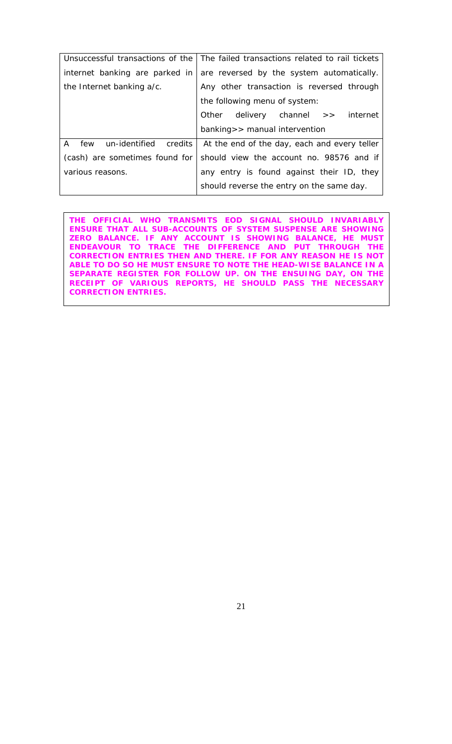|                                   | Unsuccessful transactions of the The failed transactions related to rail tickets |
|-----------------------------------|----------------------------------------------------------------------------------|
| internet banking are parked in    | are reversed by the system automatically.                                        |
| the Internet banking a/c.         | Any other transaction is reversed through                                        |
|                                   | the following menu of system:                                                    |
|                                   | Other delivery channel >> internet                                               |
|                                   | banking>> manual intervention                                                    |
| un-identified credits<br>A<br>few | At the end of the day, each and every teller                                     |
| (cash) are sometimes found for    | should view the account no. 98576 and if                                         |
| various reasons.                  | any entry is found against their ID, they                                        |
|                                   | should reverse the entry on the same day.                                        |

**THE OFFICIAL WHO TRANSMITS EOD SIGNAL SHOULD INVARIABLY ENSURE THAT ALL SUB-ACCOUNTS OF SYSTEM SUSPENSE ARE SHOWING ZERO BALANCE. IF ANY ACCOUNT IS SHOWING BALANCE, HE MUST ENDEAVOUR TO TRACE THE DIFFERENCE AND PUT THROUGH THE CORRECTION ENTRIES THEN AND THERE. IF FOR ANY REASON HE IS NOT ABLE TO DO SO HE MUST ENSURE TO NOTE THE HEAD-WISE BALANCE IN A SEPARATE REGISTER FOR FOLLOW UP. ON THE ENSUING DAY, ON THE RECEIPT OF VARIOUS REPORTS, HE SHOULD PASS THE NECESSARY CORRECTION ENTRIES.**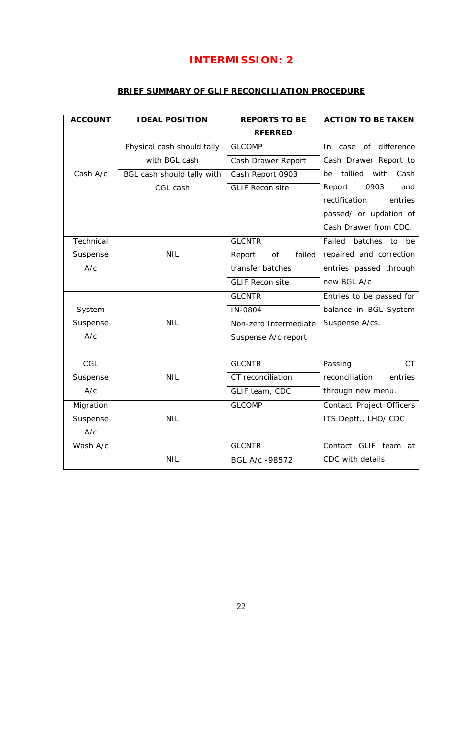# **INTERMISSION: 2**

## **BRIEF SUMMARY OF GLIF RECONCILIATION PROCEDURE**

| <b>ACCOUNT</b> | <b>IDEAL POSITION</b>      | <b>REPORTS TO BE</b>   | <b>ACTION TO BE TAKEN</b>     |
|----------------|----------------------------|------------------------|-------------------------------|
|                |                            | <b>RFERRED</b>         |                               |
|                | Physical cash should tally | <b>GLCOMP</b>          | In case of difference         |
|                | with BGL cash              | Cash Drawer Report     | Cash Drawer Report to         |
| Cash A/c       | BGL cash should tally with | Cash Report 0903       | tallied<br>with<br>Cash<br>be |
|                | CGL cash                   | <b>GLIF Recon site</b> | 0903<br>Report<br>and         |
|                |                            |                        | rectification<br>entries      |
|                |                            |                        | passed/ or updation of        |
|                |                            |                        | Cash Drawer from CDC.         |
| Technical      |                            | <b>GLCNTR</b>          | Failed<br>batches<br>to<br>be |
| Suspense       | <b>NIL</b>                 | failed<br>of<br>Report | repaired and correction       |
| A/c            |                            | transfer batches       | entries passed through        |
|                |                            | <b>GLIF Recon site</b> | new BGL A/c                   |
|                |                            | <b>GLCNTR</b>          | Entries to be passed for      |
| System         |                            | IN-0804                | balance in BGL System         |
| Suspense       | <b>NIL</b>                 | Non-zero Intermediate  | Suspense A/cs.                |
| A/c            |                            | Suspense A/c report    |                               |
|                |                            |                        |                               |
| CGL            |                            | <b>GLCNTR</b>          | Passing<br><b>CT</b>          |
| Suspense       | <b>NIL</b>                 | CT reconciliation      | reconciliation<br>entries     |
| A/c            |                            | GLIF team, CDC         | through new menu.             |
| Migration      |                            | <b>GLCOMP</b>          | Contact Project Officers      |
| Suspense       | <b>NIL</b>                 |                        | ITS Deptt., LHO/ CDC          |
| A/c            |                            |                        |                               |
| Wash A/c       |                            | <b>GLCNTR</b>          | Contact GLIF team at          |
|                | <b>NIL</b>                 | BGL A/c -98572         | CDC with details              |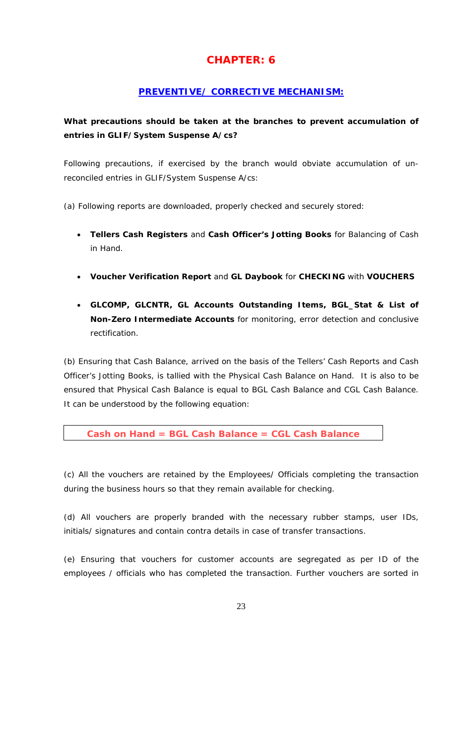# **CHAPTER: 6**

## **PREVENTIVE/ CORRECTIVE MECHANISM:**

# **What precautions should be taken at the branches to prevent accumulation of entries in GLIF/System Suspense A/cs?**

Following precautions, if exercised by the branch would obviate accumulation of unreconciled entries in GLIF/System Suspense A/cs:

- (a) Following reports are downloaded, properly checked and securely stored:
	- *Tellers Cash Registers* and *Cash Officer's Jotting Books* for Balancing of Cash in Hand.
	- *Voucher Verification Report* and *GL Daybook* for **CHECKING** with **VOUCHERS**
	- *GLCOMP, GLCNTR, GL Accounts Outstanding Items, BGL\_Stat & List of Non-Zero Intermediate Accounts* for monitoring, error detection and conclusive rectification.

(b) Ensuring that Cash Balance, arrived on the basis of the Tellers' Cash Reports and Cash Officer's Jotting Books, is tallied with the Physical Cash Balance on Hand. It is also to be ensured that Physical Cash Balance is equal to BGL Cash Balance and CGL Cash Balance. It can be understood by the following equation:

```
Cash on Hand = BGL Cash Balance = CGL Cash Balance
```
(c) All the vouchers are retained by the Employees/ Officials completing the transaction during the business hours so that they remain available for checking.

(d) All vouchers are properly branded with the necessary rubber stamps, user IDs, initials/ signatures and contain contra details in case of transfer transactions.

(e) Ensuring that vouchers for customer accounts are segregated as per ID of the employees / officials who has completed the transaction. Further vouchers are sorted in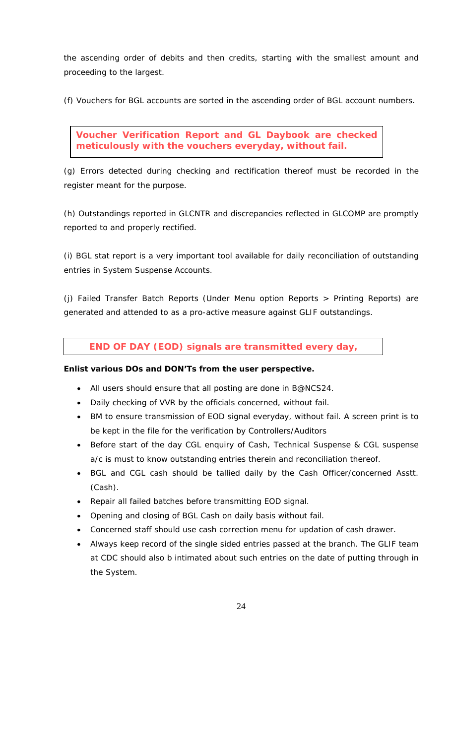the ascending order of debits and then credits, starting with the smallest amount and proceeding to the largest.

(f) Vouchers for BGL accounts are sorted in the ascending order of BGL account numbers.

**Voucher Verification Report and GL Daybook are checked meticulously with the vouchers everyday, without fail.** 

(g) Errors detected during checking and rectification thereof must be recorded in the register meant for the purpose.

(h) Outstandings reported in GLCNTR and discrepancies reflected in GLCOMP are promptly reported to and properly rectified.

(i) BGL stat report is a very important tool available for daily reconciliation of outstanding entries in System Suspense Accounts.

(j) Failed Transfer Batch Reports (Under Menu option *Reports > Printing Reports*) are generated and attended to as a pro-active measure against GLIF outstandings.

**END OF DAY (EOD) signals are transmitted every day,** 

## **Enlist various DOs and DON'Ts from the user perspective.**

- All users should ensure that all posting are done in B@NCS24.
- Daily checking of VVR by the officials concerned, without fail.
- BM to ensure transmission of EOD signal everyday, without fail. A screen print is to be kept in the file for the verification by Controllers/Auditors
- Before start of the day CGL enquiry of Cash, Technical Suspense & CGL suspense a/c is must to know outstanding entries therein and reconciliation thereof.
- BGL and CGL cash should be tallied daily by the Cash Officer/concerned Asstt. (Cash).
- Repair all failed batches before transmitting EOD signal.
- Opening and closing of BGL Cash on daily basis without fail.
- Concerned staff should use cash correction menu for updation of cash drawer.
- Always keep record of the single sided entries passed at the branch. The GLIF team at CDC should also b intimated about such entries on the date of putting through in the System.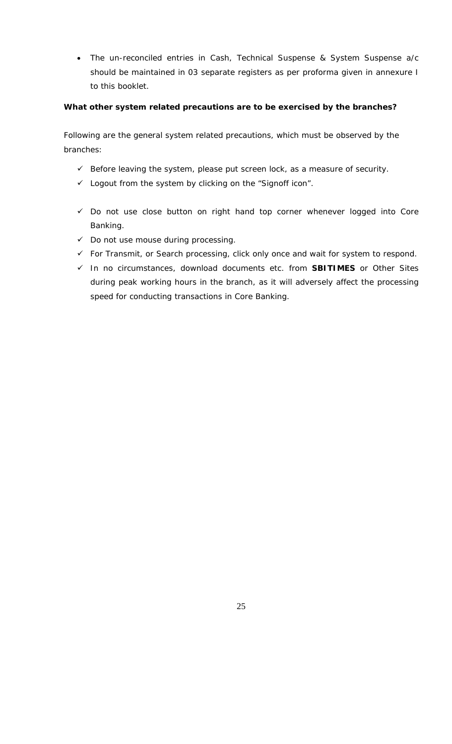• The un-reconciled entries in Cash, Technical Suspense & System Suspense a/c should be maintained in 03 separate registers as per proforma given in annexure I to this booklet.

## **What other system related precautions are to be exercised by the branches?**

Following are the general system related precautions, which must be observed by the branches:

- $\checkmark$  Before leaving the system, please put screen lock, as a measure of security.
- $\checkmark$  Logout from the system by clicking on the "Signoff icon".
- $\checkmark$  Do not use close button on right hand top corner whenever logged into Core Banking.
- $\checkmark$  Do not use mouse during processing.
- $\checkmark$  For Transmit, or Search processing, click only once and wait for system to respond.
- 9 In no circumstances, download documents etc. from **SBITIMES** or Other Sites during peak working hours in the branch, as it will adversely affect the processing speed for conducting transactions in Core Banking.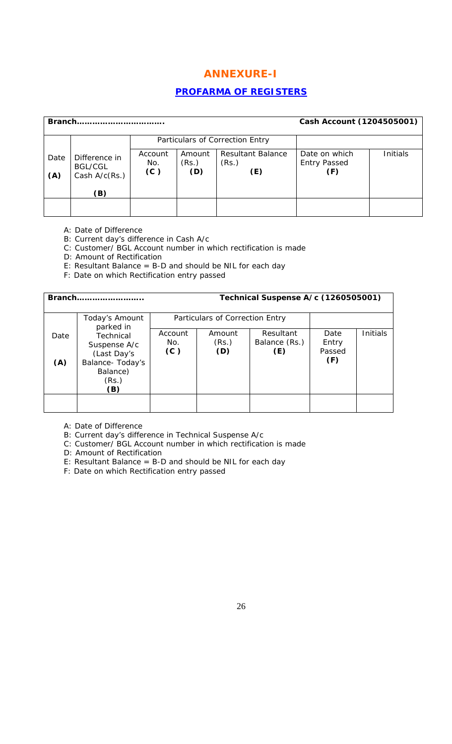# **ANNEXURE-I**

## **PROFARMA OF REGISTERS**

| <b>Branch</b> |                                                           |                       |                        |                                          | Cash Account (1204505001)                   |          |
|---------------|-----------------------------------------------------------|-----------------------|------------------------|------------------------------------------|---------------------------------------------|----------|
|               |                                                           |                       |                        | Particulars of Correction Entry          |                                             |          |
| Date<br>(A)   | Difference in<br><b>BGL/CGL</b><br>Cash $A/c(Rs.)$<br>(B) | Account<br>No.<br>(C) | Amount<br>(Rs.)<br>(D) | <b>Resultant Balance</b><br>(Rs.)<br>(E) | Date on which<br><b>Entry Passed</b><br>(F) | Initials |
|               |                                                           |                       |                        |                                          |                                             |          |

A: Date of Difference

B: Current day's difference in Cash A/c

C: Customer/ BGL Account number in which rectification is made

D: Amount of Rectification

- E: Resultant Balance = B-D and should be NIL for each day
- F: Date on which Rectification entry passed

|             | Branch                                                                                   |                       |                                 | Technical Suspense A/c (1260505001) |                                |                 |
|-------------|------------------------------------------------------------------------------------------|-----------------------|---------------------------------|-------------------------------------|--------------------------------|-----------------|
|             | Today's Amount<br>parked in                                                              |                       | Particulars of Correction Entry |                                     |                                |                 |
| Date<br>(A) | Technical<br>Suspense A/c<br>(Last Day's<br>Balance- Today's<br>Balance)<br>(Rs.)<br>(B) | Account<br>No.<br>(C) | Amount<br>(Rs.)<br>(D)          | Resultant<br>Balance (Rs.)<br>(E)   | Date<br>Entry<br>Passed<br>(F) | <b>Initials</b> |
|             |                                                                                          |                       |                                 |                                     |                                |                 |

A: Date of Difference

B: Current day's difference in Technical Suspense A/c

C: Customer/ BGL Account number in which rectification is made

D: Amount of Rectification

E: Resultant Balance = B-D and should be NIL for each day

F: Date on which Rectification entry passed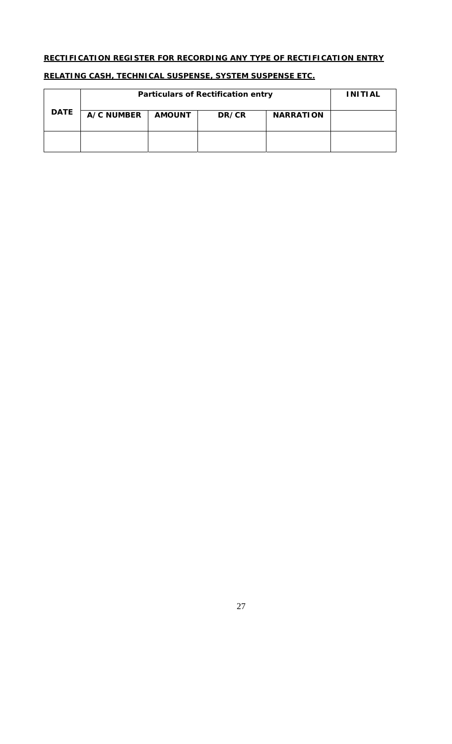## **RECTIFICATION REGISTER FOR RECORDING ANY TYPE OF RECTIFICATION ENTRY**

|             | <b>Particulars of Rectification entry</b> | <b>INITIAL</b> |       |                  |  |
|-------------|-------------------------------------------|----------------|-------|------------------|--|
| <b>DATE</b> | <b>A/C NUMBER</b>                         | <b>AMOUNT</b>  | DR/CR | <b>NARRATION</b> |  |
|             |                                           |                |       |                  |  |

## **RELATING CASH, TECHNICAL SUSPENSE, SYSTEM SUSPENSE ETC.**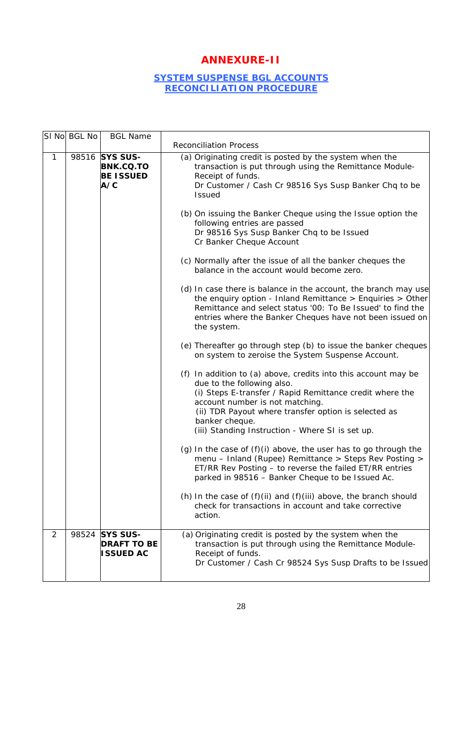# **ANNEXURE-II**

## **SYSTEM SUSPENSE BGL ACCOUNTS RECONCILIATION PROCEDURE**

|              | SI No BGL No | <b>BGL Name</b>                                               | <b>Reconciliation Process</b>                                                                                                                                                                                                                                                                                                                                                                                                                                                                                                                                                                                                                                                                                                                                                                                                                                                                                                                                                                                                                                                                                                                                                                                                                                                                                                                                                                                                                                                                                                                                                                                              |
|--------------|--------------|---------------------------------------------------------------|----------------------------------------------------------------------------------------------------------------------------------------------------------------------------------------------------------------------------------------------------------------------------------------------------------------------------------------------------------------------------------------------------------------------------------------------------------------------------------------------------------------------------------------------------------------------------------------------------------------------------------------------------------------------------------------------------------------------------------------------------------------------------------------------------------------------------------------------------------------------------------------------------------------------------------------------------------------------------------------------------------------------------------------------------------------------------------------------------------------------------------------------------------------------------------------------------------------------------------------------------------------------------------------------------------------------------------------------------------------------------------------------------------------------------------------------------------------------------------------------------------------------------------------------------------------------------------------------------------------------------|
| $\mathbf{1}$ |              | 98516 SYS SUS-<br><b>BNK.CQ.TO</b><br><b>BE ISSUED</b><br>A/C | (a) Originating credit is posted by the system when the<br>transaction is put through using the Remittance Module-<br>Receipt of funds.<br>Dr Customer / Cash Cr 98516 Sys Susp Banker Chq to be<br>Issued<br>(b) On issuing the Banker Cheque using the Issue option the<br>following entries are passed<br>Dr 98516 Sys Susp Banker Chq to be Issued<br>Cr Banker Cheque Account<br>(c) Normally after the issue of all the banker cheques the<br>balance in the account would become zero.<br>(d) In case there is balance in the account, the branch may use<br>the enquiry option - Inland Remittance $>$ Enquiries $>$ Other<br>Remittance and select status '00: To Be Issued' to find the<br>entries where the Banker Cheques have not been issued on<br>the system.<br>(e) Thereafter go through step (b) to issue the banker cheques<br>on system to zeroise the System Suspense Account.<br>(f) In addition to (a) above, credits into this account may be<br>due to the following also.<br>(i) Steps E-transfer / Rapid Remittance credit where the<br>account number is not matching.<br>(ii) TDR Payout where transfer option is selected as<br>banker cheque.<br>(iii) Standing Instruction - Where SI is set up.<br>(g) In the case of $(f)(i)$ above, the user has to go through the<br>menu - Inland (Rupee) Remittance > Steps Rev Posting ><br>ET/RR Rev Posting - to reverse the failed ET/RR entries<br>parked in 98516 - Banker Cheque to be Issued Ac.<br>(h) In the case of $(f)(ii)$ and $(f)(iii)$ above, the branch should<br>check for transactions in account and take corrective<br>action. |
| 2            | 98524        | <b>SYS SUS-</b><br><b>DRAFT TO BE</b><br><b>ISSUED AC</b>     | (a) Originating credit is posted by the system when the<br>transaction is put through using the Remittance Module-<br>Receipt of funds.<br>Dr Customer / Cash Cr 98524 Sys Susp Drafts to be Issued                                                                                                                                                                                                                                                                                                                                                                                                                                                                                                                                                                                                                                                                                                                                                                                                                                                                                                                                                                                                                                                                                                                                                                                                                                                                                                                                                                                                                        |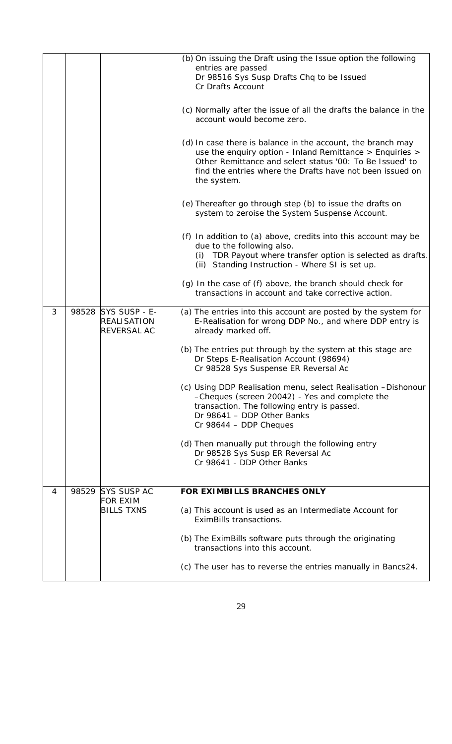|   |       |                                                                 | (b) On issuing the Draft using the Issue option the following<br>entries are passed<br>Dr 98516 Sys Susp Drafts Chq to be Issued<br>Cr Drafts Account                                                                                                           |
|---|-------|-----------------------------------------------------------------|-----------------------------------------------------------------------------------------------------------------------------------------------------------------------------------------------------------------------------------------------------------------|
|   |       |                                                                 | (c) Normally after the issue of all the drafts the balance in the<br>account would become zero.                                                                                                                                                                 |
|   |       |                                                                 | (d) In case there is balance in the account, the branch may<br>use the enquiry option - Inland Remittance > Enquiries ><br>Other Remittance and select status '00: To Be Issued' to<br>find the entries where the Drafts have not been issued on<br>the system. |
|   |       |                                                                 | (e) Thereafter go through step (b) to issue the drafts on<br>system to zeroise the System Suspense Account.                                                                                                                                                     |
|   |       |                                                                 | (f) In addition to (a) above, credits into this account may be<br>due to the following also.<br>TDR Payout where transfer option is selected as drafts.<br>(i)<br>(ii) Standing Instruction - Where SI is set up.                                               |
|   |       |                                                                 | (g) In the case of (f) above, the branch should check for<br>transactions in account and take corrective action.                                                                                                                                                |
| 3 |       | 98528 SYS SUSP - E-<br><b>REALISATION</b><br><b>REVERSAL AC</b> | (a) The entries into this account are posted by the system for<br>E-Realisation for wrong DDP No., and where DDP entry is<br>already marked off.                                                                                                                |
|   |       |                                                                 | (b) The entries put through by the system at this stage are<br>Dr Steps E-Realisation Account (98694)<br>Cr 98528 Sys Suspense ER Reversal Ac                                                                                                                   |
|   |       |                                                                 | (c) Using DDP Realisation menu, select Realisation -Dishonour<br>-Cheques (screen 20042) - Yes and complete the<br>transaction. The following entry is passed.<br>Dr 98641 - DDP Other Banks<br>Cr 98644 - DDP Cheques                                          |
|   |       |                                                                 | (d) Then manually put through the following entry<br>Dr 98528 Sys Susp ER Reversal Ac<br>Cr 98641 - DDP Other Banks                                                                                                                                             |
| 4 | 98529 | <b>SYS SUSP AC</b>                                              | FOR EXIMBILLS BRANCHES ONLY                                                                                                                                                                                                                                     |
|   |       | <b>FOR EXIM</b><br><b>BILLS TXNS</b>                            | (a) This account is used as an Intermediate Account for<br>EximBills transactions.                                                                                                                                                                              |
|   |       |                                                                 | (b) The EximBills software puts through the originating<br>transactions into this account.                                                                                                                                                                      |
|   |       |                                                                 | (c) The user has to reverse the entries manually in Bancs24.                                                                                                                                                                                                    |
|   |       |                                                                 |                                                                                                                                                                                                                                                                 |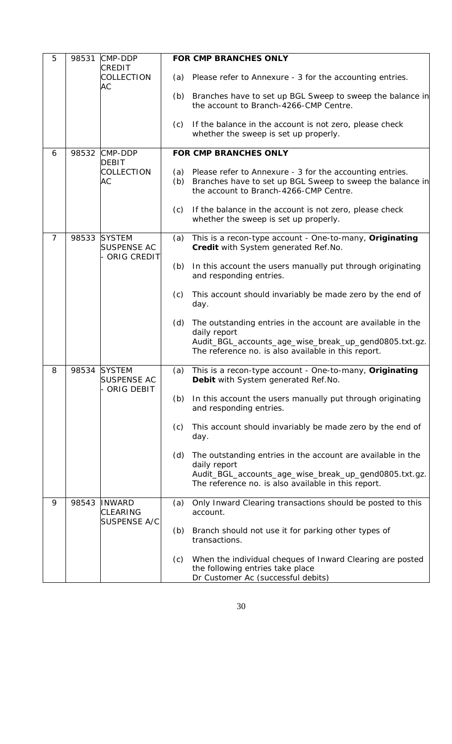| 5 | 98531 | CMP-DDP                                                 |            | FOR CMP BRANCHES ONLY                                                                                                                                                                       |
|---|-------|---------------------------------------------------------|------------|---------------------------------------------------------------------------------------------------------------------------------------------------------------------------------------------|
|   |       | <b>CREDIT</b><br>COLLECTION                             | (a)        | Please refer to Annexure - 3 for the accounting entries.                                                                                                                                    |
|   |       | АC                                                      | (b)        | Branches have to set up BGL Sweep to sweep the balance in<br>the account to Branch-4266-CMP Centre.                                                                                         |
|   |       |                                                         | (c)        | If the balance in the account is not zero, please check<br>whether the sweep is set up properly.                                                                                            |
| 6 |       | 98532 CMP-DDP                                           |            | FOR CMP BRANCHES ONLY                                                                                                                                                                       |
|   |       | <b>DEBIT</b><br>COLLECTION<br>АC                        | (a)<br>(b) | Please refer to Annexure - 3 for the accounting entries.<br>Branches have to set up BGL Sweep to sweep the balance in<br>the account to Branch-4266-CMP Centre.                             |
|   |       |                                                         | (c)        | If the balance in the account is not zero, please check<br>whether the sweep is set up properly.                                                                                            |
| 7 | 98533 | <b>SYSTEM</b><br><b>SUSPENSE AC</b><br>ORIG CREDIT      | (a)        | This is a recon-type account - One-to-many, Originating<br>Credit with System generated Ref.No.                                                                                             |
|   |       |                                                         | (b)        | In this account the users manually put through originating<br>and responding entries.                                                                                                       |
|   |       |                                                         | (c)        | This account should invariably be made zero by the end of<br>day.                                                                                                                           |
|   |       |                                                         | (d)        | The outstanding entries in the account are available in the<br>daily report<br>Audit_BGL_accounts_age_wise_break_up_gend0805.txt.gz.                                                        |
|   |       |                                                         |            | The reference no. is also available in this report.                                                                                                                                         |
| 8 | 98534 | <b>SYSTEM</b><br><b>SUSPENSE AC</b><br>ORIG DEBIT       | (a)        | This is a recon-type account - One-to-many, Originating<br>Debit with System generated Ref. No.                                                                                             |
|   |       |                                                         | (b)        | In this account the users manually put through originating<br>and responding entries.                                                                                                       |
|   |       |                                                         | (c)        | This account should invariably be made zero by the end of<br>day.                                                                                                                           |
|   |       |                                                         | (d)        | The outstanding entries in the account are available in the<br>daily report<br>Audit_BGL_accounts_age_wise_break_up_gend0805.txt.gz.<br>The reference no. is also available in this report. |
| 9 | 98543 | <b>INWARD</b><br><b>CLEARING</b><br><b>SUSPENSE A/C</b> | (a)        | Only Inward Clearing transactions should be posted to this<br>account.                                                                                                                      |
|   |       |                                                         | (b)        | Branch should not use it for parking other types of<br>transactions.                                                                                                                        |
|   |       |                                                         | (c)        | When the individual cheques of Inward Clearing are posted<br>the following entries take place<br>Dr Customer Ac (successful debits)                                                         |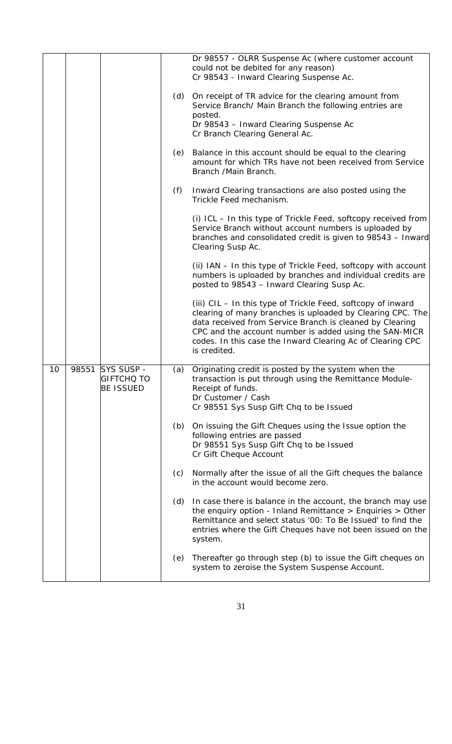|    |       |                                                            |     | Dr 98557 - OLRR Suspense Ac (where customer account<br>could not be debited for any reason)<br>Cr 98543 - Inward Clearing Suspense Ac.                                                                                                                                                                                         |
|----|-------|------------------------------------------------------------|-----|--------------------------------------------------------------------------------------------------------------------------------------------------------------------------------------------------------------------------------------------------------------------------------------------------------------------------------|
|    |       |                                                            | (d) | On receipt of TR advice for the clearing amount from<br>Service Branch/ Main Branch the following entries are<br>posted.                                                                                                                                                                                                       |
|    |       |                                                            |     | Dr 98543 - Inward Clearing Suspense Ac<br>Cr Branch Clearing General Ac.                                                                                                                                                                                                                                                       |
|    |       |                                                            | (e) | Balance in this account should be equal to the clearing<br>amount for which TRs have not been received from Service<br>Branch / Main Branch.                                                                                                                                                                                   |
|    |       |                                                            | (f) | Inward Clearing transactions are also posted using the<br>Trickle Feed mechanism.                                                                                                                                                                                                                                              |
|    |       |                                                            |     | (i) ICL - In this type of Trickle Feed, softcopy received from<br>Service Branch without account numbers is uploaded by<br>branches and consolidated credit is given to 98543 - Inward<br>Clearing Susp Ac.                                                                                                                    |
|    |       |                                                            |     | (ii) IAN - In this type of Trickle Feed, softcopy with account<br>numbers is uploaded by branches and individual credits are<br>posted to 98543 - Inward Clearing Susp Ac.                                                                                                                                                     |
|    |       |                                                            |     | (iii) CIL - In this type of Trickle Feed, softcopy of inward<br>clearing of many branches is uploaded by Clearing CPC. The<br>data received from Service Branch is cleaned by Clearing<br>CPC and the account number is added using the SAN-MICR<br>codes. In this case the Inward Clearing Ac of Clearing CPC<br>is credited. |
| 10 | 98551 | <b>SYS SUSP -</b><br><b>GIFTCHO TO</b><br><b>BE ISSUED</b> | (a) | Originating credit is posted by the system when the<br>transaction is put through using the Remittance Module-<br>Receipt of funds.<br>Dr Customer / Cash<br>Cr 98551 Sys Susp Gift Chq to be Issued                                                                                                                           |
|    |       |                                                            | (b) | On issuing the Gift Cheques using the Issue option the<br>following entries are passed<br>Dr 98551 Sys Susp Gift Chq to be Issued<br>Cr Gift Cheque Account                                                                                                                                                                    |
|    |       |                                                            | (c) | Normally after the issue of all the Gift cheques the balance<br>in the account would become zero.                                                                                                                                                                                                                              |
|    |       |                                                            | (d) | In case there is balance in the account, the branch may use<br>the enquiry option - Inland Remittance $>$ Enquiries $>$ Other<br>Remittance and select status '00: To Be Issued' to find the<br>entries where the Gift Cheques have not been issued on the<br>system.                                                          |
|    |       |                                                            | (e) | Thereafter go through step (b) to issue the Gift cheques on<br>system to zeroise the System Suspense Account.                                                                                                                                                                                                                  |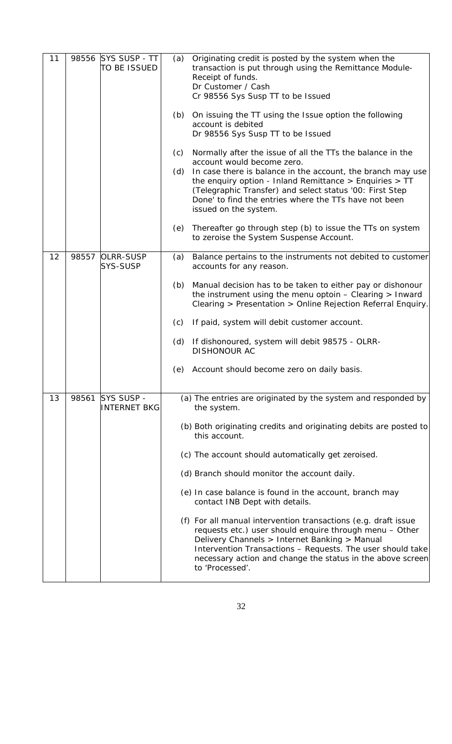| 11 | 98556 | SYS SUSP - TT<br>to be issued       | (a)        | Originating credit is posted by the system when the<br>transaction is put through using the Remittance Module-<br>Receipt of funds.<br>Dr Customer / Cash<br>Cr 98556 Sys Susp TT to be Issued                                                                                                                                                                       |
|----|-------|-------------------------------------|------------|----------------------------------------------------------------------------------------------------------------------------------------------------------------------------------------------------------------------------------------------------------------------------------------------------------------------------------------------------------------------|
|    |       |                                     | (b)        | On issuing the TT using the Issue option the following<br>account is debited<br>Dr 98556 Sys Susp TT to be Issued                                                                                                                                                                                                                                                    |
|    |       |                                     | (c)<br>(d) | Normally after the issue of all the TTs the balance in the<br>account would become zero.<br>In case there is balance in the account, the branch may use<br>the enquiry option - Inland Remittance $>$ Enquiries $>$ TT<br>(Telegraphic Transfer) and select status '00: First Step<br>Done' to find the entries where the TTs have not been<br>issued on the system. |
|    |       |                                     | (e)        | Thereafter go through step (b) to issue the TTs on system<br>to zeroise the System Suspense Account.                                                                                                                                                                                                                                                                 |
| 12 | 98557 | <b>OLRR-SUSP</b><br><b>SYS-SUSP</b> | (a)        | Balance pertains to the instruments not debited to customer<br>accounts for any reason.                                                                                                                                                                                                                                                                              |
|    |       |                                     | (b)        | Manual decision has to be taken to either pay or dishonour<br>the instrument using the menu optoin $-$ Clearing $>$ Inward<br>Clearing > Presentation > Online Rejection Referral Enquiry.                                                                                                                                                                           |
|    |       |                                     | (c)        | If paid, system will debit customer account.                                                                                                                                                                                                                                                                                                                         |
|    |       |                                     |            | (d) If dishonoured, system will debit 98575 - OLRR-<br><b>DISHONOUR AC</b>                                                                                                                                                                                                                                                                                           |
|    |       |                                     | (e)        | Account should become zero on daily basis.                                                                                                                                                                                                                                                                                                                           |
| 13 | 98561 | SYS SUSP -<br><b>INTERNET BKG</b>   |            | (a) The entries are originated by the system and responded by<br>the system.                                                                                                                                                                                                                                                                                         |
|    |       |                                     |            | (b) Both originating credits and originating debits are posted to<br>this account.                                                                                                                                                                                                                                                                                   |
|    |       |                                     |            | (c) The account should automatically get zeroised.                                                                                                                                                                                                                                                                                                                   |
|    |       |                                     |            | (d) Branch should monitor the account daily.                                                                                                                                                                                                                                                                                                                         |
|    |       |                                     |            | (e) In case balance is found in the account, branch may<br>contact INB Dept with details.                                                                                                                                                                                                                                                                            |
|    |       |                                     |            | (f) For all manual intervention transactions (e.g. draft issue<br>requests etc.) user should enquire through menu - Other<br>Delivery Channels > Internet Banking > Manual<br>Intervention Transactions - Requests. The user should take<br>necessary action and change the status in the above screen<br>to 'Processed'.                                            |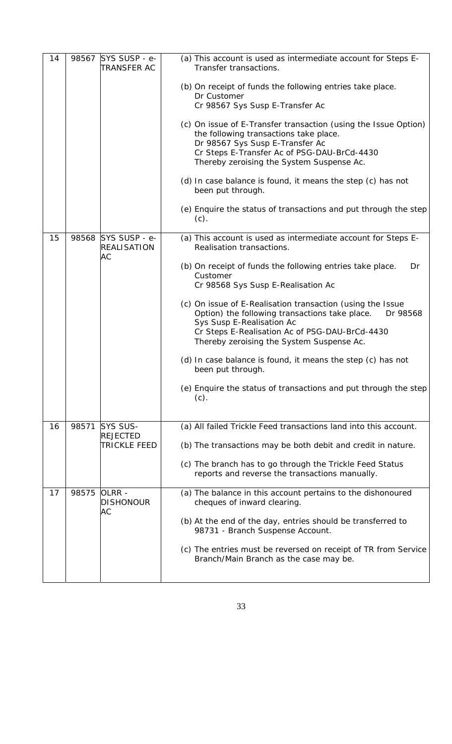| 14 |       | 98567 SYS SUSP - e-<br><b>TRANSFER AC</b>       | (a) This account is used as intermediate account for Steps E-<br>Transfer transactions.                                                                                                                                                              |                                                                                                                   |
|----|-------|-------------------------------------------------|------------------------------------------------------------------------------------------------------------------------------------------------------------------------------------------------------------------------------------------------------|-------------------------------------------------------------------------------------------------------------------|
|    |       |                                                 | (b) On receipt of funds the following entries take place.<br>Dr Customer<br>Cr 98567 Sys Susp E-Transfer Ac                                                                                                                                          |                                                                                                                   |
|    |       |                                                 | (c) On issue of E-Transfer transaction (using the Issue Option)<br>the following transactions take place.<br>Dr 98567 Sys Susp E-Transfer Ac<br>Cr Steps E-Transfer Ac of PSG-DAU-BrCd-4430<br>Thereby zeroising the System Suspense Ac.             |                                                                                                                   |
|    |       |                                                 | (d) In case balance is found, it means the step (c) has not<br>been put through.                                                                                                                                                                     |                                                                                                                   |
|    |       |                                                 | (e) Enquire the status of transactions and put through the step<br>$(c)$ .                                                                                                                                                                           |                                                                                                                   |
| 15 |       | 98568 SYS SUSP - e-<br><b>REALISATION</b><br>АC | (a) This account is used as intermediate account for Steps E-<br>Realisation transactions.                                                                                                                                                           |                                                                                                                   |
|    |       |                                                 |                                                                                                                                                                                                                                                      | (b) On receipt of funds the following entries take place.<br>Dr<br>Customer<br>Cr 98568 Sys Susp E-Realisation Ac |
|    |       |                                                 | (c) On issue of E-Realisation transaction (using the Issue<br>Option) the following transactions take place.<br>Dr 98568<br>Sys Susp E-Realisation Ac<br>Cr Steps E-Realisation Ac of PSG-DAU-BrCd-4430<br>Thereby zeroising the System Suspense Ac. |                                                                                                                   |
|    |       |                                                 | (d) In case balance is found, it means the step (c) has not<br>been put through.                                                                                                                                                                     |                                                                                                                   |
|    |       |                                                 | (e) Enquire the status of transactions and put through the step<br>$(c)$ .                                                                                                                                                                           |                                                                                                                   |
| 16 | 98571 | SYS SUS-                                        | (a) All failed Trickle Feed transactions land into this account.                                                                                                                                                                                     |                                                                                                                   |
|    |       | <b>REJECTED</b><br><b>TRICKLE FEED</b>          | (b) The transactions may be both debit and credit in nature.                                                                                                                                                                                         |                                                                                                                   |
|    |       |                                                 | (c) The branch has to go through the Trickle Feed Status<br>reports and reverse the transactions manually.                                                                                                                                           |                                                                                                                   |
| 17 | 98575 | OLRR -<br><b>DISHONOUR</b>                      | (a) The balance in this account pertains to the dishonoured<br>cheques of inward clearing.                                                                                                                                                           |                                                                                                                   |
|    |       | АC                                              | (b) At the end of the day, entries should be transferred to<br>98731 - Branch Suspense Account.                                                                                                                                                      |                                                                                                                   |
|    |       |                                                 | (c) The entries must be reversed on receipt of TR from Service<br>Branch/Main Branch as the case may be.                                                                                                                                             |                                                                                                                   |
|    |       |                                                 |                                                                                                                                                                                                                                                      |                                                                                                                   |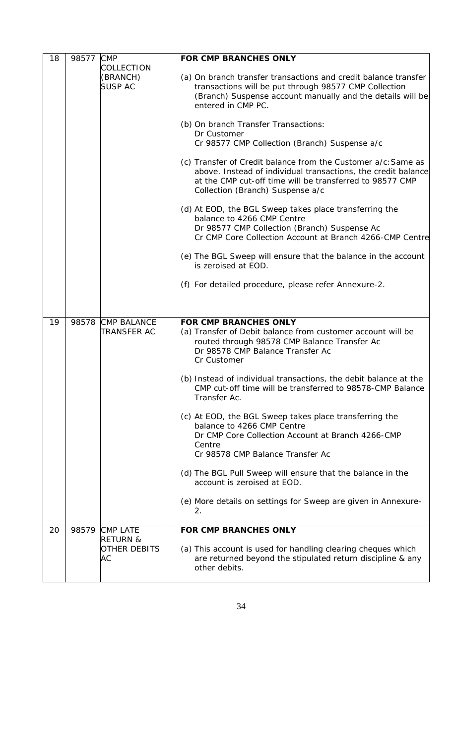| 18 | 98577 | <b>CMP</b>                                | <b>FOR CMP BRANCHES ONLY</b>                                                                                                                                                                                                   |
|----|-------|-------------------------------------------|--------------------------------------------------------------------------------------------------------------------------------------------------------------------------------------------------------------------------------|
|    |       | COLLECTION                                |                                                                                                                                                                                                                                |
|    |       | (BRANCH)<br><b>SUSP AC</b>                | (a) On branch transfer transactions and credit balance transfer<br>transactions will be put through 98577 CMP Collection<br>(Branch) Suspense account manually and the details will be<br>entered in CMP PC.                   |
|    |       |                                           | (b) On branch Transfer Transactions:<br>Dr Customer<br>Cr 98577 CMP Collection (Branch) Suspense a/c                                                                                                                           |
|    |       |                                           | (c) Transfer of Credit balance from the Customer a/c: Same as<br>above. Instead of individual transactions, the credit balance<br>at the CMP cut-off time will be transferred to 98577 CMP<br>Collection (Branch) Suspense a/c |
|    |       |                                           | (d) At EOD, the BGL Sweep takes place transferring the<br>balance to 4266 CMP Centre<br>Dr 98577 CMP Collection (Branch) Suspense Ac<br>Cr CMP Core Collection Account at Branch 4266-CMP Centre                               |
|    |       |                                           | (e) The BGL Sweep will ensure that the balance in the account<br>is zeroised at EOD.                                                                                                                                           |
|    |       |                                           | (f) For detailed procedure, please refer Annexure-2.                                                                                                                                                                           |
|    |       |                                           |                                                                                                                                                                                                                                |
| 19 | 98578 | <b>CMP BALANCE</b><br><b>TRANSFER AC</b>  | FOR CMP BRANCHES ONLY<br>(a) Transfer of Debit balance from customer account will be<br>routed through 98578 CMP Balance Transfer Ac<br>Dr 98578 CMP Balance Transfer Ac<br>Cr Customer                                        |
|    |       |                                           | (b) Instead of individual transactions, the debit balance at the<br>CMP cut-off time will be transferred to 98578-CMP Balance<br>Transfer Ac.                                                                                  |
|    |       |                                           | (c) At EOD, the BGL Sweep takes place transferring the<br>balance to 4266 CMP Centre<br>Dr CMP Core Collection Account at Branch 4266-CMP<br>Centre<br>Cr 98578 CMP Balance Transfer Ac                                        |
|    |       |                                           | (d) The BGL Pull Sweep will ensure that the balance in the<br>account is zeroised at EOD.                                                                                                                                      |
|    |       |                                           | (e) More details on settings for Sweep are given in Annexure-<br>2.                                                                                                                                                            |
| 20 | 98579 | <b>CMP LATE</b>                           | FOR CMP BRANCHES ONLY                                                                                                                                                                                                          |
|    |       | <b>RETURN &amp;</b><br>OTHER DEBITS<br>АC | (a) This account is used for handling clearing cheques which<br>are returned beyond the stipulated return discipline & any<br>other debits.                                                                                    |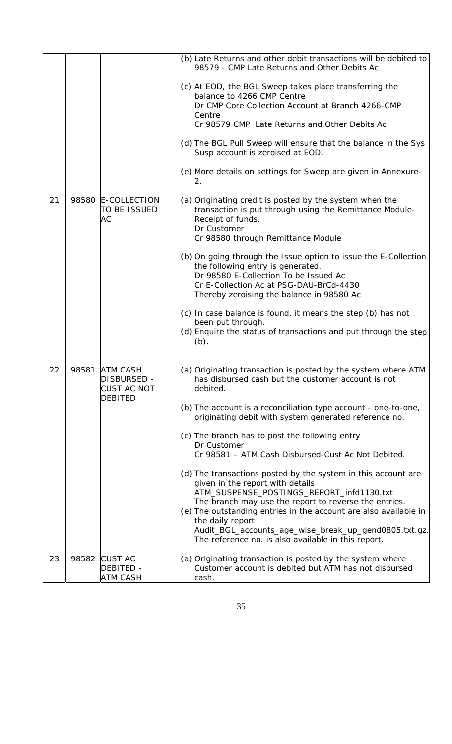|    |       |                                                       | (b) Late Returns and other debit transactions will be debited to<br>98579 - CMP Late Returns and Other Debits Ac                                                                                                                      |
|----|-------|-------------------------------------------------------|---------------------------------------------------------------------------------------------------------------------------------------------------------------------------------------------------------------------------------------|
|    |       |                                                       | (c) At EOD, the BGL Sweep takes place transferring the<br>balance to 4266 CMP Centre                                                                                                                                                  |
|    |       |                                                       | Dr CMP Core Collection Account at Branch 4266-CMP<br>Centre                                                                                                                                                                           |
|    |       |                                                       | Cr 98579 CMP Late Returns and Other Debits Ac                                                                                                                                                                                         |
|    |       |                                                       | (d) The BGL Pull Sweep will ensure that the balance in the Sys<br>Susp account is zeroised at EOD.                                                                                                                                    |
|    |       |                                                       | (e) More details on settings for Sweep are given in Annexure-<br>2.                                                                                                                                                                   |
| 21 | 98580 | E-COLLECTION<br>to be issued<br>АC                    | (a) Originating credit is posted by the system when the<br>transaction is put through using the Remittance Module-<br>Receipt of funds.<br>Dr Customer<br>Cr 98580 through Remittance Module                                          |
|    |       |                                                       | (b) On going through the Issue option to issue the E-Collection<br>the following entry is generated.<br>Dr 98580 E-Collection To be Issued Ac<br>Cr E-Collection Ac at PSG-DAU-BrCd-4430<br>Thereby zeroising the balance in 98580 Ac |
|    |       |                                                       | (c) In case balance is found, it means the step (b) has not<br>been put through.<br>(d) Enquire the status of transactions and put through the step<br>$(b)$ .                                                                        |
| 22 | 98581 | <b>ATM CASH</b><br>DISBURSED -<br><b>CUST AC NOT</b>  | (a) Originating transaction is posted by the system where ATM<br>has disbursed cash but the customer account is not<br>debited.                                                                                                       |
|    |       | <b>DEBITED</b>                                        | (b) The account is a reconciliation type account - one-to-one,<br>originating debit with system generated reference no.                                                                                                               |
|    |       |                                                       | (c) The branch has to post the following entry<br>Dr Customer<br>Cr 98581 - ATM Cash Disbursed-Cust Ac Not Debited.                                                                                                                   |
|    |       |                                                       | (d) The transactions posted by the system in this account are<br>given in the report with details<br>ATM_SUSPENSE_POSTINGS_REPORT_infd1130.txt                                                                                        |
|    |       |                                                       | The branch may use the report to reverse the entries.<br>(e) The outstanding entries in the account are also available in<br>the daily report<br>Audit_BGL_accounts_age_wise_break_up_gend0805.txt.gz.                                |
|    |       |                                                       | The reference no. is also available in this report.                                                                                                                                                                                   |
| 23 | 98582 | <b>CUST AC</b><br><b>DEBITED -</b><br><b>ATM CASH</b> | (a) Originating transaction is posted by the system where<br>Customer account is debited but ATM has not disbursed<br>cash.                                                                                                           |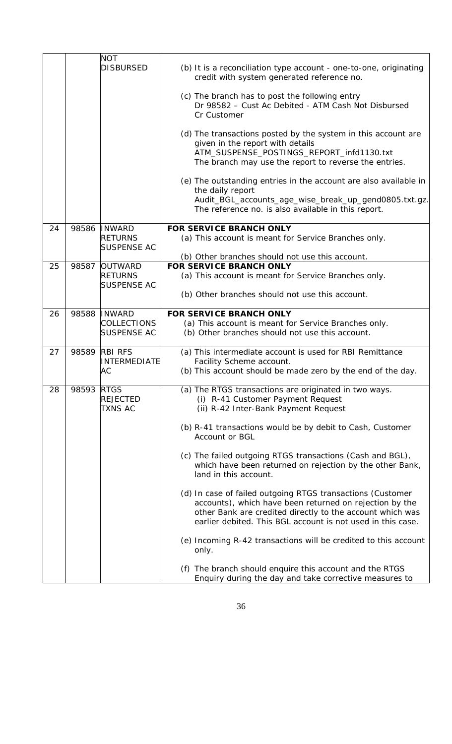|    |       | <b>NOT</b>                           |                                                                                                                                                                                                                                                   |
|----|-------|--------------------------------------|---------------------------------------------------------------------------------------------------------------------------------------------------------------------------------------------------------------------------------------------------|
|    |       | <b>DISBURSED</b>                     | (b) It is a reconciliation type account - one-to-one, originating<br>credit with system generated reference no.                                                                                                                                   |
|    |       |                                      | (c) The branch has to post the following entry<br>Dr 98582 - Cust Ac Debited - ATM Cash Not Disbursed<br>Cr Customer                                                                                                                              |
|    |       |                                      | (d) The transactions posted by the system in this account are<br>given in the report with details<br>ATM_SUSPENSE_POSTINGS_REPORT_infd1130.txt<br>The branch may use the report to reverse the entries.                                           |
|    |       |                                      | (e) The outstanding entries in the account are also available in<br>the daily report<br>Audit_BGL_accounts_age_wise_break_up_gend0805.txt.gz.<br>The reference no. is also available in this report.                                              |
| 24 | 98586 | <b>INWARD</b>                        | <b>FOR SERVICE BRANCH ONLY</b>                                                                                                                                                                                                                    |
|    |       | <b>RETURNS</b><br><b>SUSPENSE AC</b> | (a) This account is meant for Service Branches only.                                                                                                                                                                                              |
|    |       |                                      | (b) Other branches should not use this account.                                                                                                                                                                                                   |
| 25 | 98587 | <b>OUTWARD</b>                       | <b>FOR SERVICE BRANCH ONLY</b>                                                                                                                                                                                                                    |
|    |       | <b>RETURNS</b><br><b>SUSPENSE AC</b> | (a) This account is meant for Service Branches only.                                                                                                                                                                                              |
|    |       |                                      | (b) Other branches should not use this account.                                                                                                                                                                                                   |
| 26 | 98588 | <b>INWARD</b>                        | FOR SERVICE BRANCH ONLY                                                                                                                                                                                                                           |
|    |       | COLLECTIONS                          | (a) This account is meant for Service Branches only.                                                                                                                                                                                              |
|    |       | <b>SUSPENSE AC</b>                   | (b) Other branches should not use this account.                                                                                                                                                                                                   |
| 27 | 98589 | <b>RBI RFS</b>                       | (a) This intermediate account is used for RBI Remittance                                                                                                                                                                                          |
|    |       | INTERMEDIATE                         | Facility Scheme account.                                                                                                                                                                                                                          |
|    |       | АC                                   | (b) This account should be made zero by the end of the day.                                                                                                                                                                                       |
| 28 | 98593 | <b>RTGS</b>                          | (a) The RTGS transactions are originated in two ways.                                                                                                                                                                                             |
|    |       | <b>REJECTED</b>                      | (i) R-41 Customer Payment Request                                                                                                                                                                                                                 |
|    |       | <b>TXNS AC</b>                       | (ii) R-42 Inter-Bank Payment Request                                                                                                                                                                                                              |
|    |       |                                      |                                                                                                                                                                                                                                                   |
|    |       |                                      | (b) R-41 transactions would be by debit to Cash, Customer<br>Account or BGL                                                                                                                                                                       |
|    |       |                                      |                                                                                                                                                                                                                                                   |
|    |       |                                      | (c) The failed outgoing RTGS transactions (Cash and BGL),<br>which have been returned on rejection by the other Bank,<br>land in this account.                                                                                                    |
|    |       |                                      | (d) In case of failed outgoing RTGS transactions (Customer<br>accounts), which have been returned on rejection by the<br>other Bank are credited directly to the account which was<br>earlier debited. This BGL account is not used in this case. |
|    |       |                                      | (e) Incoming R-42 transactions will be credited to this account<br>only.                                                                                                                                                                          |
|    |       |                                      | (f) The branch should enquire this account and the RTGS<br>Enquiry during the day and take corrective measures to                                                                                                                                 |